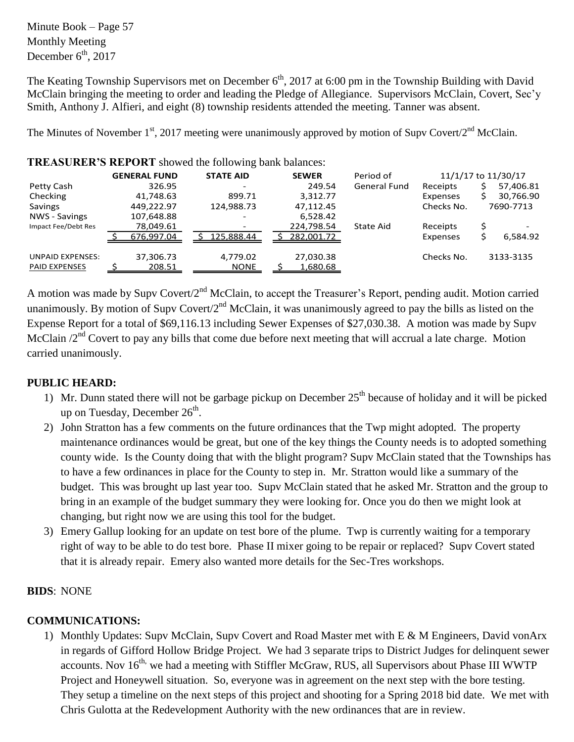Minute Book – Page 57 Monthly Meeting December  $6<sup>th</sup>$ , 2017

The Keating Township Supervisors met on December  $6<sup>th</sup>$ , 2017 at 6:00 pm in the Township Building with David McClain bringing the meeting to order and leading the Pledge of Allegiance. Supervisors McClain, Covert, Sec'y Smith, Anthony J. Alfieri, and eight (8) township residents attended the meeting. Tanner was absent.

The Minutes of November 1<sup>st</sup>, 2017 meeting were unanimously approved by motion of Supv Covert/2<sup>nd</sup> McClain.

| $\frac{1}{2}$ . The contract $\frac{1}{2}$ and $\frac{1}{2}$ and $\frac{1}{2}$ and $\frac{1}{2}$ and $\frac{1}{2}$ and $\frac{1}{2}$ and $\frac{1}{2}$ |                     |                     |                  |                         |              |                       |                     |            |  |           |  |
|--------------------------------------------------------------------------------------------------------------------------------------------------------|---------------------|---------------------|------------------|-------------------------|--------------|-----------------------|---------------------|------------|--|-----------|--|
|                                                                                                                                                        | <b>GENERAL FUND</b> |                     | <b>STATE AID</b> |                         | <b>SEWER</b> | Period of             | 11/1/17 to 11/30/17 |            |  |           |  |
| Petty Cash                                                                                                                                             |                     | 326.95              |                  |                         |              | 249.54                | <b>General Fund</b> | Receipts   |  | 57,406.81 |  |
| Checking                                                                                                                                               |                     | 41,748.63           |                  | 899.71                  |              | 3,312.77              |                     | Expenses   |  | 30,766.90 |  |
| Savings                                                                                                                                                |                     | 449.222.97          |                  | 124,988.73              |              | 47.112.45             |                     | Checks No. |  | 7690-7713 |  |
| NWS - Savings                                                                                                                                          |                     | 107,648.88          |                  |                         |              | 6,528.42              |                     |            |  |           |  |
| Impact Fee/Debt Res                                                                                                                                    | 78,049.61           |                     |                  |                         |              | 224,798.54            | State Aid           | Receipts   |  |           |  |
|                                                                                                                                                        |                     | 676,997.04          |                  | 125,888.44              |              | 282,001.72            |                     | Expenses   |  | 6,584.92  |  |
| <b>UNPAID EXPENSES:</b><br><b>PAID EXPENSES</b>                                                                                                        |                     | 37,306.73<br>208.51 |                  | 4,779.02<br><b>NONE</b> |              | 27,030.38<br>1,680.68 |                     | Checks No. |  | 3133-3135 |  |
|                                                                                                                                                        |                     |                     |                  |                         |              |                       |                     |            |  |           |  |

**TREASURER'S REPORT** showed the following bank balances:

A motion was made by Supv Covert/2<sup>nd</sup> McClain, to accept the Treasurer's Report, pending audit. Motion carried unanimously. By motion of Supv Covert/ $2<sup>nd</sup>$  McClain, it was unanimously agreed to pay the bills as listed on the Expense Report for a total of \$69,116.13 including Sewer Expenses of \$27,030.38. A motion was made by Supv McClain  $/2^{nd}$  Covert to pay any bills that come due before next meeting that will accrual a late charge. Motion carried unanimously.

### **PUBLIC HEARD:**

- 1) Mr. Dunn stated there will not be garbage pickup on December  $25<sup>th</sup>$  because of holiday and it will be picked up on Tuesday, December  $26^{\text{th}}$ .
- 2) John Stratton has a few comments on the future ordinances that the Twp might adopted. The property maintenance ordinances would be great, but one of the key things the County needs is to adopted something county wide. Is the County doing that with the blight program? Supv McClain stated that the Townships has to have a few ordinances in place for the County to step in. Mr. Stratton would like a summary of the budget. This was brought up last year too. Supv McClain stated that he asked Mr. Stratton and the group to bring in an example of the budget summary they were looking for. Once you do then we might look at changing, but right now we are using this tool for the budget.
- 3) Emery Gallup looking for an update on test bore of the plume. Twp is currently waiting for a temporary right of way to be able to do test bore. Phase II mixer going to be repair or replaced? Supv Covert stated that it is already repair. Emery also wanted more details for the Sec-Tres workshops.

### **BIDS**: NONE

## **COMMUNICATIONS:**

1) Monthly Updates: Supv McClain, Supv Covert and Road Master met with E & M Engineers, David vonArx in regards of Gifford Hollow Bridge Project. We had 3 separate trips to District Judges for delinquent sewer accounts. Nov  $16<sup>th</sup>$ , we had a meeting with Stiffler McGraw, RUS, all Supervisors about Phase III WWTP Project and Honeywell situation. So, everyone was in agreement on the next step with the bore testing. They setup a timeline on the next steps of this project and shooting for a Spring 2018 bid date. We met with Chris Gulotta at the Redevelopment Authority with the new ordinances that are in review.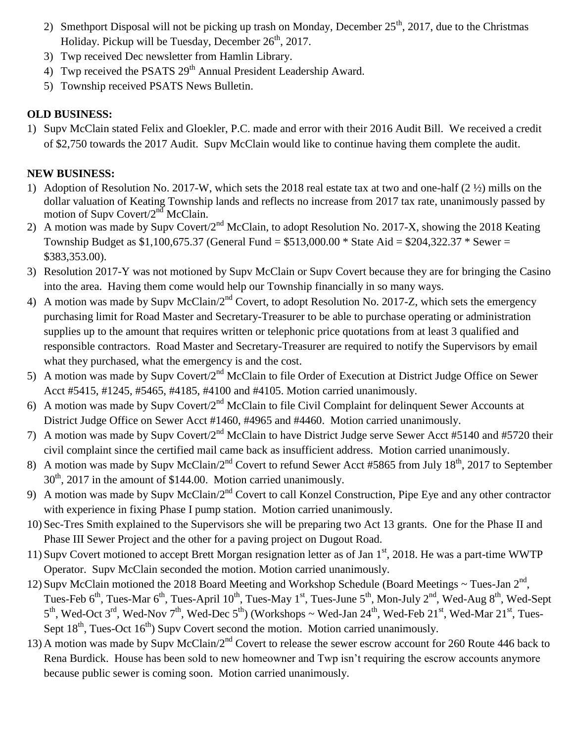- 2) Smethport Disposal will not be picking up trash on Monday, December  $25<sup>th</sup>$ , 2017, due to the Christmas Holiday. Pickup will be Tuesday, December  $26<sup>th</sup>$ , 2017.
- 3) Twp received Dec newsletter from Hamlin Library.
- 4) Twp received the PSATS 29<sup>th</sup> Annual President Leadership Award.
- 5) Township received PSATS News Bulletin.

## **OLD BUSINESS:**

1) Supv McClain stated Felix and Gloekler, P.C. made and error with their 2016 Audit Bill. We received a credit of \$2,750 towards the 2017 Audit. Supv McClain would like to continue having them complete the audit.

# **NEW BUSINESS:**

- 1) Adoption of Resolution No. 2017-W, which sets the 2018 real estate tax at two and one-half (2 ½) mills on the dollar valuation of Keating Township lands and reflects no increase from 2017 tax rate, unanimously passed by motion of Supv Covert/ $2<sup>nd</sup>$  McClain.
- 2) A motion was made by Supv Covert/2<sup>nd</sup> McClain, to adopt Resolution No. 2017-X, showing the 2018 Keating Township Budget as \$1,100,675.37 (General Fund = \$513,000.00 \* State Aid = \$204,322.37 \* Sewer = \$383,353.00).
- 3) Resolution 2017-Y was not motioned by Supv McClain or Supv Covert because they are for bringing the Casino into the area. Having them come would help our Township financially in so many ways.
- 4) A motion was made by Supv McClain/2<sup>nd</sup> Covert, to adopt Resolution No. 2017-Z, which sets the emergency purchasing limit for Road Master and Secretary-Treasurer to be able to purchase operating or administration supplies up to the amount that requires written or telephonic price quotations from at least 3 qualified and responsible contractors. Road Master and Secretary-Treasurer are required to notify the Supervisors by email what they purchased, what the emergency is and the cost.
- 5) A motion was made by Supv Covert/2<sup>nd</sup> McClain to file Order of Execution at District Judge Office on Sewer Acct #5415, #1245, #5465, #4185, #4100 and #4105. Motion carried unanimously.
- 6) A motion was made by Supv Covert/ $2<sup>nd</sup>$  McClain to file Civil Complaint for delinquent Sewer Accounts at District Judge Office on Sewer Acct #1460, #4965 and #4460. Motion carried unanimously.
- 7) A motion was made by Supv Covert/2<sup>nd</sup> McClain to have District Judge serve Sewer Acct #5140 and #5720 their civil complaint since the certified mail came back as insufficient address. Motion carried unanimously.
- 8) A motion was made by Supv McClain/ $2<sup>nd</sup>$  Covert to refund Sewer Acct #5865 from July 18<sup>th</sup>, 2017 to September 30<sup>th</sup>, 2017 in the amount of \$144.00. Motion carried unanimously.
- 9) A motion was made by Supv McClain/2<sup>nd</sup> Covert to call Konzel Construction, Pipe Eye and any other contractor with experience in fixing Phase I pump station. Motion carried unanimously.
- 10) Sec-Tres Smith explained to the Supervisors she will be preparing two Act 13 grants. One for the Phase II and Phase III Sewer Project and the other for a paving project on Dugout Road.
- 11) Supv Covert motioned to accept Brett Morgan resignation letter as of Jan  $1<sup>st</sup>$ , 2018. He was a part-time WWTP Operator. Supv McClain seconded the motion. Motion carried unanimously.
- 12) Supv McClain motioned the 2018 Board Meeting and Workshop Schedule (Board Meetings  $\sim$  Tues-Jan  $2^{nd}$ , Tues-Feb 6<sup>th</sup>, Tues-Mar 6<sup>th</sup>, Tues-April 10<sup>th</sup>, Tues-May 1<sup>st</sup>, Tues-June 5<sup>th</sup>, Mon-July 2<sup>nd</sup>, Wed-Aug 8<sup>th</sup>, Wed-Sept  $5<sup>th</sup>$ , Wed-Oct 3<sup>rd</sup>, Wed-Nov 7<sup>th</sup>, Wed-Dec 5<sup>th</sup>) (Workshops ~ Wed-Jan 24<sup>th</sup>, Wed-Feb 21<sup>st</sup>, Wed-Mar 21<sup>st</sup>, Tues-Sept  $18<sup>th</sup>$ , Tues-Oct  $16<sup>th</sup>$ ) Supv Covert second the motion. Motion carried unanimously.
- 13) A motion was made by Supv McClain/2<sup>nd</sup> Covert to release the sewer escrow account for 260 Route 446 back to Rena Burdick. House has been sold to new homeowner and Twp isn't requiring the escrow accounts anymore because public sewer is coming soon. Motion carried unanimously.